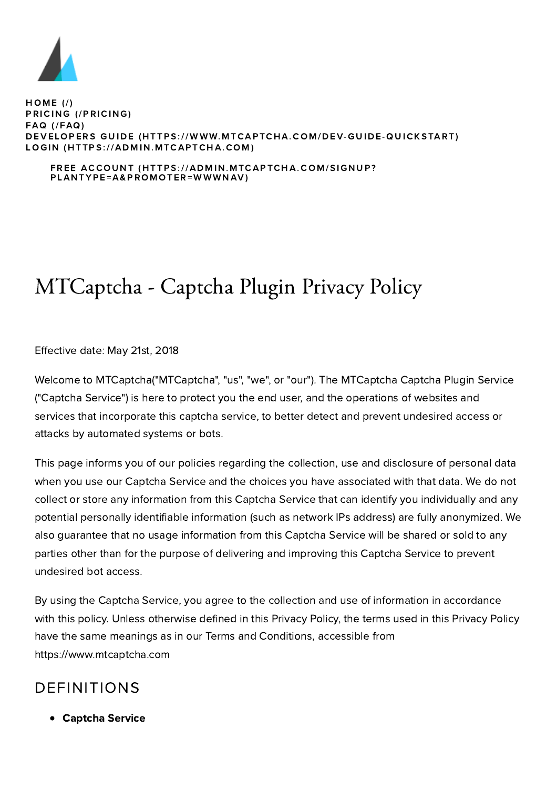

 $HOME (l)$ [PRICI](https://www.mtcaptcha.com/pricing)NG (/PRICING)  $FAQ$  (/ $FAQ$ ) DEVELOPERS GUIDE (HTTPS://WWW.MTCAPTCHA.COM/DEV-GUIDE-QU[ICKSTART](https://www.mtcaptcha.com/dev-guide-quickstart)) LOGIN (HTTPS://ADMIN.M[TCAP](https://admin.mtcaptcha.com/)TCHA.COM)

#### FREE ACCOUNT (HTTPS://ADMIN.MTCAPTCHA.COM/SIGNUP? PLANTYPE[=A&PR](https://admin.mtcaptcha.com/signup?plantype=A&promoter=wwwnav)OMOTER=WWWNAV)

# MTCaptcha - Captcha Plugin Privacy Policy

Effective date: May 21st, 2018

Welcome to MTCaptcha("MTCaptcha", "us", "we", or "our"). The MTCaptcha Captcha Plugin Service ("Captcha Service") is here to protect you the end user, and the operations of websites and services that incorporate this captcha service, to better detect and prevent undesired access or attacks by automated systems or bots.

This page informs you of our policies regarding the collection, use and disclosure of personal data when you use our Captcha Service and the choices you have associated with that data. We do not collect or store any information from this Captcha Service that can identify you individually and any potential personally identifiable information (such as network IPs address) are fully anonymized. We also guarantee that no usage information from this Captcha Service will be shared or sold to any parties other than for the purpose of delivering and improving this Captcha Service to prevent undesired bot access.

By using the Captcha Service, you agree to the collection and use of information in accordance with this policy. Unless otherwise defined in this Privacy Policy, the terms used in this Privacy Policy have the same meanings as in our Terms and Conditions, accessible from https://www.mtcaptcha.com

### DEFINITIONS

Captcha Service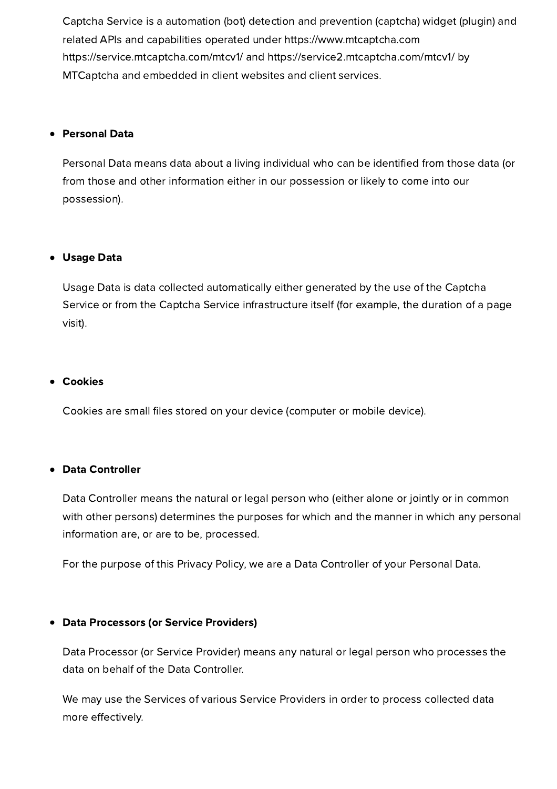Captcha Service is a automation (bot) detection and prevention (captcha) widget (plugin) and related APIs and capabilities operated under https://www.mtcaptcha.com https://service.mtcaptcha.com/mtcv1/ and https://service2.mtcaptcha.com/mtcv1/ by MTCaptcha and embedded in client websites and client services.

#### Personal Data

Personal Data means data about a living individual who can be identified from those data (or from those and other information either in our possession or likely to come into our possession).

#### Usage Data

Usage Data is data collected automatically either generated by the use of the Captcha Service or from the Captcha Service infrastructure itself (for example, the duration of a page visit).

#### Cookies

Cookies are small files stored on your device (computer or mobile device).

#### Data Controller

Data Controller means the natural or legal person who (either alone or jointly or in common with other persons) determines the purposes for which and the manner in which any personal information are, or are to be, processed.

For the purpose of this Privacy Policy, we are a Data Controller of your Personal Data.

#### Data Processors (or Service Providers)

Data Processor (or Service Provider) means any natural or legal person who processes the data on behalf of the Data Controller.

We may use the Services of various Service Providers in order to process collected data more effectively.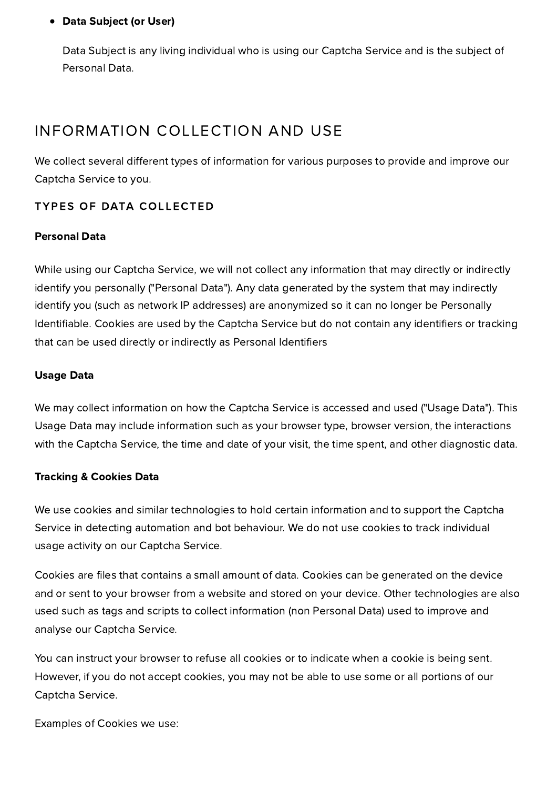### Data Subject (or User)

Data Subject is any living individual who is using our Captcha Service and is the subject of Personal Data.

### INFORMATION COLLECTION AND USE

We collect several different types of information for various purposes to provide and improve our Captcha Service to you.

### TYPES OF DATA COLLECTED

#### Personal Data

While using our Captcha Service, we will not collect any information that may directly or indirectly identify you personally ("Personal Data"). Any data generated by the system that may indirectly identify you (such as network IP addresses) are anonymized so it can no longer be Personally Identifiable. Cookies are used by the Captcha Service but do not contain any identifiers or tracking that can be used directly or indirectly as Personal Identifiers

#### Usage Data

We may collect information on how the Captcha Service is accessed and used ("Usage Data"). This Usage Data may include information such as your browser type, browser version, the interactions with the Captcha Service, the time and date of your visit, the time spent, and other diagnostic data.

#### Tracking & Cookies Data

We use cookies and similar technologies to hold certain information and to support the Captcha Service in detecting automation and bot behaviour. We do not use cookies to track individual usage activity on our Captcha Service.

Cookies are files that contains a small amount of data. Cookies can be generated on the device and or sent to your browser from a website and stored on your device. Other technologies are also used such as tags and scripts to collect information (non Personal Data) used to improve and analyse our Captcha Service.

You can instruct your browser to refuse all cookies or to indicate when a cookie is being sent. However, if you do not accept cookies, you may not be able to use some or all portions of our Captcha Service.

Examples of Cookies we use: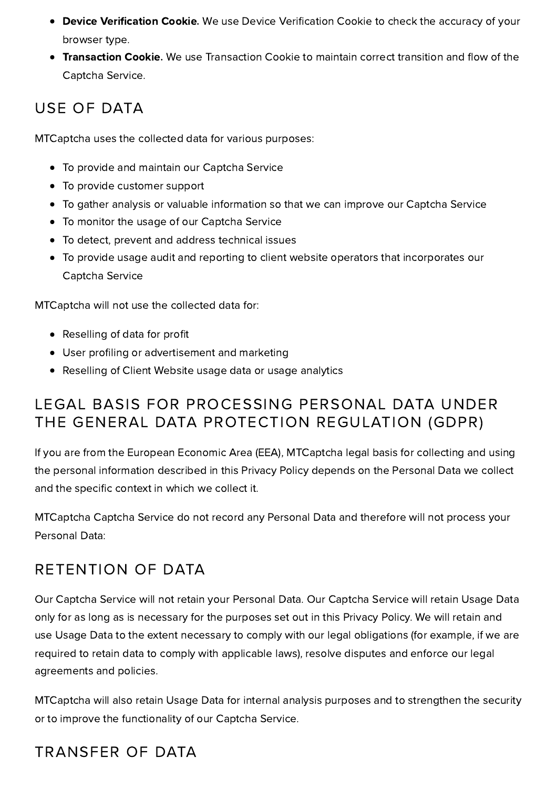- **Device Verification Cookie.** We use Device Verification Cookie to check the accuracy of your browser type.
- **Transaction Cookie.** We use Transaction Cookie to maintain correct transition and flow of the Captcha Service.

### USE OF DATA

MTCaptcha uses the collected data for various purposes:

- To provide and maintain our Captcha Service
- To provide customer support
- To gather analysis or valuable information so that we can improve our Captcha Service
- To monitor the usage of our Captcha Service
- To detect, prevent and address technical issues
- To provide usage audit and reporting to client website operators that incorporates our Captcha Service

MTCaptcha will not use the collected data for:

- Reselling of data for profit
- User profiling or advertisement and marketing
- Reselling of Client Website usage data or usage analytics

### LEGAL BASIS FOR PROCESSING PERSONAL DATA UNDER THE GENERAL DATA PROTECTION REGULATION (GDPR)

If you are from the European Economic Area (EEA), MTCaptcha legal basis for collecting and using the personal information described in this Privacy Policy depends on the Personal Data we collect and the specific context in which we collect it.

MTCaptcha Captcha Service do not record any Personal Data and therefore will not process your Personal Data:

### RETENTION OF DATA

Our Captcha Service will not retain your Personal Data. Our Captcha Service will retain Usage Data only for as long as is necessary for the purposes set out in this Privacy Policy. We will retain and use Usage Data to the extent necessary to comply with our legal obligations (for example, if we are required to retain data to comply with applicable laws), resolve disputes and enforce our legal agreements and policies.

MTCaptcha will also retain Usage Data for internal analysis purposes and to strengthen the security or to improve the functionality of our Captcha Service.

# TRANSFER OF DATA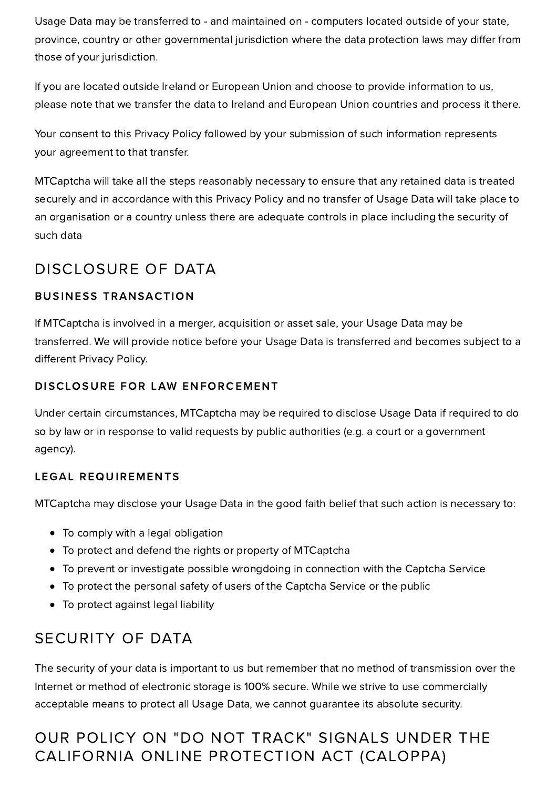Usage Data may be transferred to - and maintained on - computers located outside of your state, province, country or other governmental jurisdiction where the data protection laws may differ from those of your jurisdiction.

If you are located outside Ireland or European Union and choose to provide information to us, please note that we transfer the data to Ireland and European Union countries and process it there.

Your consent to this Privacy Policy followed by your submission of such information represents your agreement to that transfer.

MTCaptcha will take all the steps reasonably necessary to ensure that any retained data is treated securely and in accordance with this Privacy Policy and no transfer of Usage Data will take place to an organisation or a country unless there are adequate controls in place including the security of such data

### DISCLOSURE OF DATA

### BUSINESS TRANSACTION

If MTCaptcha is involved in a merger, acquisition or asset sale, your Usage Data may be transferred. We will provide notice before your Usage Data is transferred and becomes subject to a different Privacy Policy.

### DISCLOSURE FOR LAW ENFORCEMENT

Under certain circumstances, MTCaptcha may be required to disclose Usage Data if required to do so by law or in response to valid requests by public authorities (e.g. a court or a government agency).

### LEGAL REQUIREMENTS

MTCaptcha may disclose your Usage Data in the good faith belief that such action is necessary to:

- To comply with a legal obligation
- To protect and defend the rights or property of MTCaptcha
- To prevent or investigate possible wrongdoing in connection with the Captcha Service
- To protect the personal safety of users of the Captcha Service or the public
- To protect against legal liability

### SECURITY OF DATA

The security of your data is important to us but remember that no method of transmission over the Internet or method of electronic storage is 100% secure. While we strive to use commercially acceptable means to protect all Usage Data, we cannot guarantee its absolute security.

### OUR POLICY ON "DO NOT TRACK" SIGNALS UNDER THE CALIFORNIA ONLINE PROTECTION ACT (CALOPPA)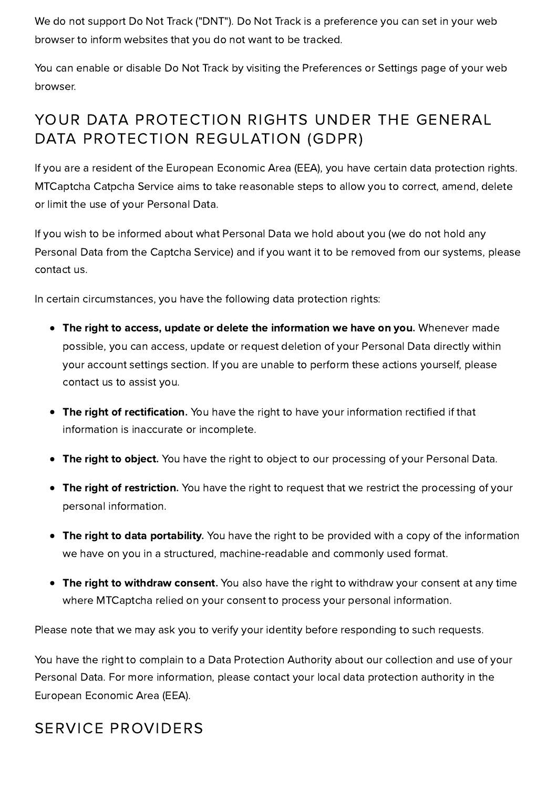We do not support Do Not Track ("DNT"). Do Not Track is a preference you can set in your web browser to inform websites that you do not want to be tracked.

You can enable or disable Do Not Track by visiting the Preferences or Settings page of your web browser.

# YOUR DATA PROTECTION RIGHTS UNDER THE GENERAL DATA PROTECTION REGULATION (GDPR)

If you are a resident of the European Economic Area (EEA), you have certain data protection rights. MTCaptcha Catpcha Service aims to take reasonable steps to allow you to correct, amend, delete or limit the use of your Personal Data.

If you wish to be informed about what Personal Data we hold about you (we do not hold any Personal Data from the Captcha Service) and if you want it to be removed from our systems, please contact us.

In certain circumstances, you have the following data protection rights:

- The right to access, update or delete the information we have on you. Whenever made possible, you can access, update or request deletion of your Personal Data directly within your account settings section. If you are unable to perform these actions yourself, please contact us to assist you.
- The right of rectification. You have the right to have your information rectified if that information is inaccurate or incomplete.
- The right to object. You have the right to object to our processing of your Personal Data.
- The right of restriction. You have the right to request that we restrict the processing of your personal information.
- The right to data portability. You have the right to be provided with a copy of the information we have on you in a structured, machine-readable and commonly used format.
- The right to withdraw consent. You also have the right to withdraw your consent at any time where MTCaptcha relied on your consent to process your personal information.

Please note that we may ask you to verify your identity before responding to such requests.

You have the right to complain to a Data Protection Authority about our collection and use of your Personal Data. For more information, please contact your local data protection authority in the European Economic Area (EEA).

# SERVICE PROVIDERS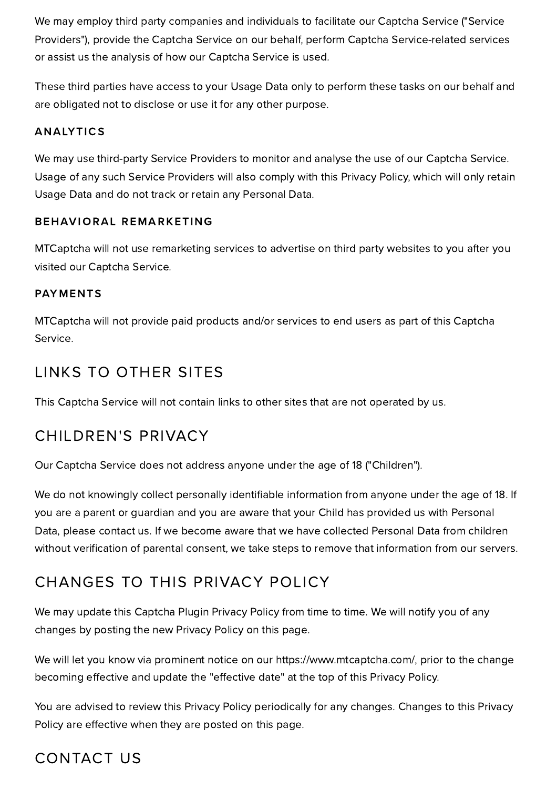We may employ third party companies and individuals to facilitate our Captcha Service ("Service Providers"), provide the Captcha Service on our behalf, perform Captcha Service-related services or assist us the analysis of how our Captcha Service is used.

These third parties have access to your Usage Data only to perform these tasks on our behalf and are obligated not to disclose or use it for any other purpose.

### ANALYTICS

We may use third-party Service Providers to monitor and analyse the use of our Captcha Service. Usage of any such Service Providers will also comply with this Privacy Policy, which will only retain Usage Data and do not track or retain any Personal Data.

### BEHAVIORAL REMARKETING

MTCaptcha will not use remarketing services to advertise on third party websites to you after you visited our Captcha Service.

### PAYMENTS

MTCaptcha will not provide paid products and/or services to end users as part of this Captcha Service.

### LINKS TO OTHER SITES

This Captcha Service will not contain links to other sites that are not operated by us.

### CHILDREN'S PRIVACY

Our Captcha Service does not address anyone under the age of 18 ("Children").

We do not knowingly collect personally identifiable information from anyone under the age of 18. If you are a parent or guardian and you are aware that your Child has provided us with Personal Data, please contact us. If we become aware that we have collected Personal Data from children without verification of parental consent, we take steps to remove that information from our servers.

# CHANGES TO THIS PRIVACY POLICY

We may update this Captcha Plugin Privacy Policy from time to time. We will notify you of any changes by posting the new Privacy Policy on this page.

We will let you know via prominent notice on our https://www.mtcaptcha.com/, prior to the change becoming effective and update the "effective date" at the top of this Privacy Policy.

You are advised to review this Privacy Policy periodically for any changes. Changes to this Privacy Policy are effective when they are posted on this page.

### CONTACT US